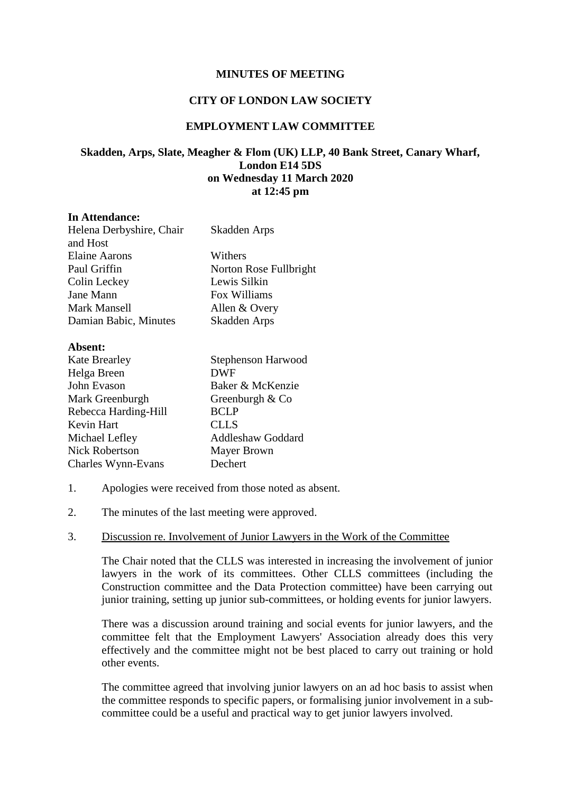### **MINUTES OF MEETING**

## **CITY OF LONDON LAW SOCIETY**

# **EMPLOYMENT LAW COMMITTEE**

# **Skadden, Arps, Slate, Meagher & Flom (UK) LLP, 40 Bank Street, Canary Wharf, London E14 5DS on Wednesday 11 March 2020 at 12:45 pm**

#### **In Attendance:**

| Helena Derbyshire, Chair | Skadden Arps           |
|--------------------------|------------------------|
| and Host                 |                        |
| <b>Elaine Aarons</b>     | Withers                |
| Paul Griffin             | Norton Rose Fullbright |
| Colin Leckey             | Lewis Silkin           |
| Jane Mann                | Fox Williams           |
| Mark Mansell             | Allen & Overy          |
| Damian Babic, Minutes    | Skadden Arps           |
| Absent:                  |                        |

| ADSCHI.               |                          |
|-----------------------|--------------------------|
| <b>Kate Brearley</b>  | Stephenson Harwood       |
| Helga Breen           | <b>DWF</b>               |
| John Evason           | Baker & McKenzie         |
| Mark Greenburgh       | Greenburgh $& Co$        |
| Rebecca Harding-Hill  | <b>BCLP</b>              |
| Kevin Hart            | <b>CLLS</b>              |
| Michael Lefley        | <b>Addleshaw Goddard</b> |
| <b>Nick Robertson</b> | <b>Mayer Brown</b>       |
| Charles Wynn-Evans    | Dechert                  |

- 1. Apologies were received from those noted as absent.
- 2. The minutes of the last meeting were approved.

#### 3. Discussion re. Involvement of Junior Lawyers in the Work of the Committee

The Chair noted that the CLLS was interested in increasing the involvement of junior lawyers in the work of its committees. Other CLLS committees (including the Construction committee and the Data Protection committee) have been carrying out junior training, setting up junior sub-committees, or holding events for junior lawyers.

There was a discussion around training and social events for junior lawyers, and the committee felt that the Employment Lawyers' Association already does this very effectively and the committee might not be best placed to carry out training or hold other events.

The committee agreed that involving junior lawyers on an ad hoc basis to assist when the committee responds to specific papers, or formalising junior involvement in a subcommittee could be a useful and practical way to get junior lawyers involved.